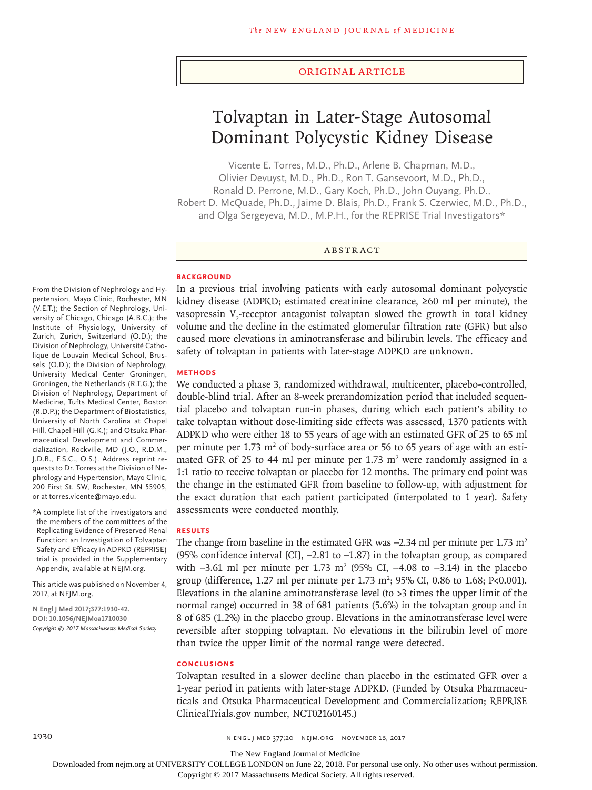#### Original Article

# Tolvaptan in Later-Stage Autosomal Dominant Polycystic Kidney Disease

Vicente E. Torres, M.D., Ph.D., Arlene B. Chapman, M.D., Olivier Devuyst, M.D., Ph.D., Ron T. Gansevoort, M.D., Ph.D., Ronald D. Perrone, M.D., Gary Koch, Ph.D., John Ouyang, Ph.D., Robert D. McQuade, Ph.D., Jaime D. Blais, Ph.D., Frank S. Czerwiec, M.D., Ph.D., and Olga Sergeyeva, M.D., M.P.H., for the REPRISE Trial Investigators\*

#### ABSTRACT

## **BACKGROUND**

From the Division of Nephrology and Hypertension, Mayo Clinic, Rochester, MN (V.E.T.); the Section of Nephrology, University of Chicago, Chicago (A.B.C.); the Institute of Physiology, University of Zurich, Zurich, Switzerland (O.D.); the Division of Nephrology, Université Catholique de Louvain Medical School, Brussels (O.D.); the Division of Nephrology, University Medical Center Groningen, Groningen, the Netherlands (R.T.G.); the Division of Nephrology, Department of Medicine, Tufts Medical Center, Boston (R.D.P.); the Department of Biostatistics, University of North Carolina at Chapel Hill, Chapel Hill (G.K.); and Otsuka Pharmaceutical Development and Commercialization, Rockville, MD (J.O., R.D.M., J.D.B., F.S.C., O.S.). Address reprint requests to Dr. Torres at the Division of Nephrology and Hypertension, Mayo Clinic, 200 First St. SW, Rochester, MN 55905, or at torres.vicente@mayo.edu.

\*A complete list of the investigators and the members of the committees of the Replicating Evidence of Preserved Renal Function: an Investigation of Tolvaptan Safety and Efficacy in ADPKD (REPRISE) trial is provided in the Supplementary Appendix, available at NEJM.org.

This article was published on November 4, 2017, at NEJM.org.

**N Engl J Med 2017;377:1930-42. DOI: 10.1056/NEJMoa1710030** *Copyright © 2017 Massachusetts Medical Society.* In a previous trial involving patients with early autosomal dominant polycystic kidney disease (ADPKD; estimated creatinine clearance, ≥60 ml per minute), the vasopressin V<sub>2</sub>-receptor antagonist tolvaptan slowed the growth in total kidney volume and the decline in the estimated glomerular filtration rate (GFR) but also caused more elevations in aminotransferase and bilirubin levels. The efficacy and safety of tolvaptan in patients with later-stage ADPKD are unknown.

#### **METHODS**

We conducted a phase 3, randomized withdrawal, multicenter, placebo-controlled, double-blind trial. After an 8-week prerandomization period that included sequential placebo and tolvaptan run-in phases, during which each patient's ability to take tolvaptan without dose-limiting side effects was assessed, 1370 patients with ADPKD who were either 18 to 55 years of age with an estimated GFR of 25 to 65 ml per minute per 1.73 m<sup>2</sup> of body-surface area or 56 to 65 years of age with an estimated GFR of 25 to 44 ml per minute per 1.73  $m<sup>2</sup>$  were randomly assigned in a 1:1 ratio to receive tolvaptan or placebo for 12 months. The primary end point was the change in the estimated GFR from baseline to follow-up, with adjustment for the exact duration that each patient participated (interpolated to 1 year). Safety assessments were conducted monthly.

#### **RESULTS**

The change from baseline in the estimated GFR was −2.34 ml per minute per 1.73 m<sup>2</sup> (95% confidence interval [CI], −2.81 to −1.87) in the tolvaptan group, as compared with  $-3.61$  ml per minute per 1.73 m<sup>2</sup> (95% CI,  $-4.08$  to  $-3.14$ ) in the placebo group (difference, 1.27 ml per minute per 1.73 m<sup>2</sup>; 95% CI, 0.86 to 1.68; P<0.001). Elevations in the alanine aminotransferase level (to >3 times the upper limit of the normal range) occurred in 38 of 681 patients (5.6%) in the tolvaptan group and in 8 of 685 (1.2%) in the placebo group. Elevations in the aminotransferase level were reversible after stopping tolvaptan. No elevations in the bilirubin level of more than twice the upper limit of the normal range were detected.

## **CONCLUSIONS**

Tolvaptan resulted in a slower decline than placebo in the estimated GFR over a 1-year period in patients with later-stage ADPKD. (Funded by Otsuka Pharmaceuticals and Otsuka Pharmaceutical Development and Commercialization; REPRISE ClinicalTrials.gov number, NCT02160145.)

1930 **n engl j med 377;20 NEM.ORG NOVEMBER 16, 2017** N ENGL J MED 377;20 NEJM.ORG NOVEMBER 16, 2017

The New England Journal of Medicine

Downloaded from nejm.org at UNIVERSITY COLLEGE LONDON on June 22, 2018. For personal use only. No other uses without permission.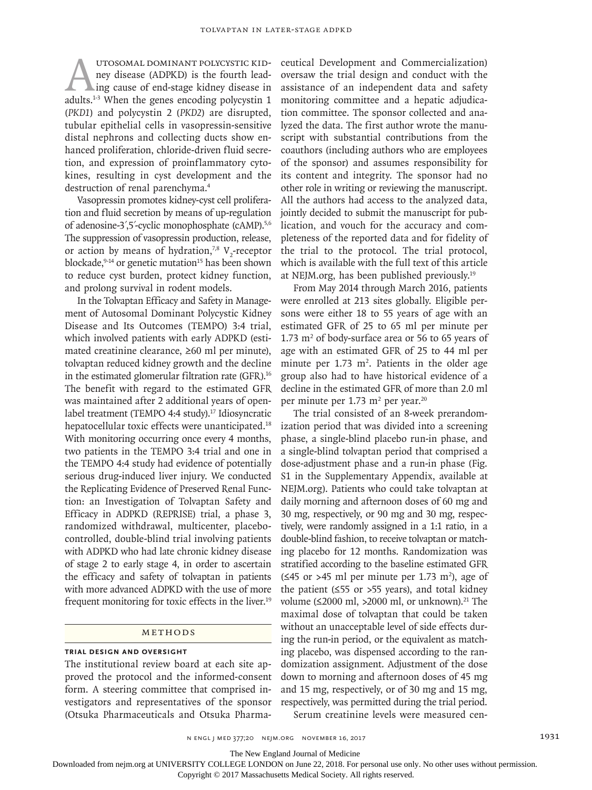TOSOMAL DOMINANT POLYCYSTIC KID-<br>ney disease (ADPKD) is the fourth lead-<br>ing cause of end-stage kidney disease in<br>adults.<sup>1-3</sup> When the genes encoding polycystin 1 ney disease (ADPKD) is the fourth leading cause of end-stage kidney disease in adults.1-3 When the genes encoding polycystin 1 (*PKD1*) and polycystin 2 (*PKD2*) are disrupted, tubular epithelial cells in vasopressin-sensitive distal nephrons and collecting ducts show enhanced proliferation, chloride-driven fluid secretion, and expression of proinflammatory cytokines, resulting in cyst development and the destruction of renal parenchyma.<sup>4</sup>

Vasopressin promotes kidney-cyst cell proliferation and fluid secretion by means of up-regulation of adenosine-3′,5′-cyclic monophosphate (cAMP).5,6 The suppression of vasopressin production, release, or action by means of hydration,<sup>7,8</sup>  $V_2$ -receptor blockade,  $9-14$  or genetic mutation<sup>15</sup> has been shown to reduce cyst burden, protect kidney function, and prolong survival in rodent models.

In the Tolvaptan Efficacy and Safety in Management of Autosomal Dominant Polycystic Kidney Disease and Its Outcomes (TEMPO) 3:4 trial, which involved patients with early ADPKD (estimated creatinine clearance, ≥60 ml per minute), tolvaptan reduced kidney growth and the decline in the estimated glomerular filtration rate (GFR).<sup>16</sup> The benefit with regard to the estimated GFR was maintained after 2 additional years of openlabel treatment (TEMPO 4:4 study).<sup>17</sup> Idiosyncratic hepatocellular toxic effects were unanticipated.<sup>18</sup> With monitoring occurring once every 4 months, two patients in the TEMPO 3:4 trial and one in the TEMPO 4:4 study had evidence of potentially serious drug-induced liver injury. We conducted the Replicating Evidence of Preserved Renal Function: an Investigation of Tolvaptan Safety and Efficacy in ADPKD (REPRISE) trial, a phase 3, randomized withdrawal, multicenter, placebocontrolled, double-blind trial involving patients with ADPKD who had late chronic kidney disease of stage 2 to early stage 4, in order to ascertain the efficacy and safety of tolvaptan in patients with more advanced ADPKD with the use of more frequent monitoring for toxic effects in the liver.<sup>19</sup>

#### Methods

# **Trial Design and Oversight**

The institutional review board at each site approved the protocol and the informed-consent form. A steering committee that comprised investigators and representatives of the sponsor (Otsuka Pharmaceuticals and Otsuka Pharma-

ceutical Development and Commercialization) oversaw the trial design and conduct with the assistance of an independent data and safety monitoring committee and a hepatic adjudication committee. The sponsor collected and analyzed the data. The first author wrote the manuscript with substantial contributions from the coauthors (including authors who are employees of the sponsor) and assumes responsibility for its content and integrity. The sponsor had no other role in writing or reviewing the manuscript. All the authors had access to the analyzed data, jointly decided to submit the manuscript for publication, and vouch for the accuracy and completeness of the reported data and for fidelity of the trial to the protocol. The trial protocol, which is available with the full text of this article at NEJM.org, has been published previously.19

From May 2014 through March 2016, patients were enrolled at 213 sites globally. Eligible persons were either 18 to 55 years of age with an estimated GFR of 25 to 65 ml per minute per  $1.73 \text{ m}^2$  of body-surface area or 56 to 65 years of age with an estimated GFR of 25 to 44 ml per minute per  $1.73 \text{ m}^2$ . Patients in the older age group also had to have historical evidence of a decline in the estimated GFR of more than 2.0 ml per minute per 1.73 m<sup>2</sup> per year.<sup>20</sup>

The trial consisted of an 8-week prerandomization period that was divided into a screening phase, a single-blind placebo run-in phase, and a single-blind tolvaptan period that comprised a dose-adjustment phase and a run-in phase (Fig. S1 in the Supplementary Appendix, available at NEJM.org). Patients who could take tolvaptan at daily morning and afternoon doses of 60 mg and 30 mg, respectively, or 90 mg and 30 mg, respectively, were randomly assigned in a 1:1 ratio, in a double-blind fashion, to receive tolvaptan or matching placebo for 12 months. Randomization was stratified according to the baseline estimated GFR  $(\leq 45$  or >45 ml per minute per 1.73 m<sup>2</sup>), age of the patient  $(555 \text{ or } >55 \text{ years})$ , and total kidney volume ( $\leq$ 2000 ml,  $>$ 2000 ml, or unknown).<sup>21</sup> The maximal dose of tolvaptan that could be taken without an unacceptable level of side effects during the run-in period, or the equivalent as matching placebo, was dispensed according to the randomization assignment. Adjustment of the dose down to morning and afternoon doses of 45 mg and 15 mg, respectively, or of 30 mg and 15 mg, respectively, was permitted during the trial period. Serum creatinine levels were measured cen-

The New England Journal of Medicine

Downloaded from nejm.org at UNIVERSITY COLLEGE LONDON on June 22, 2018. For personal use only. No other uses without permission.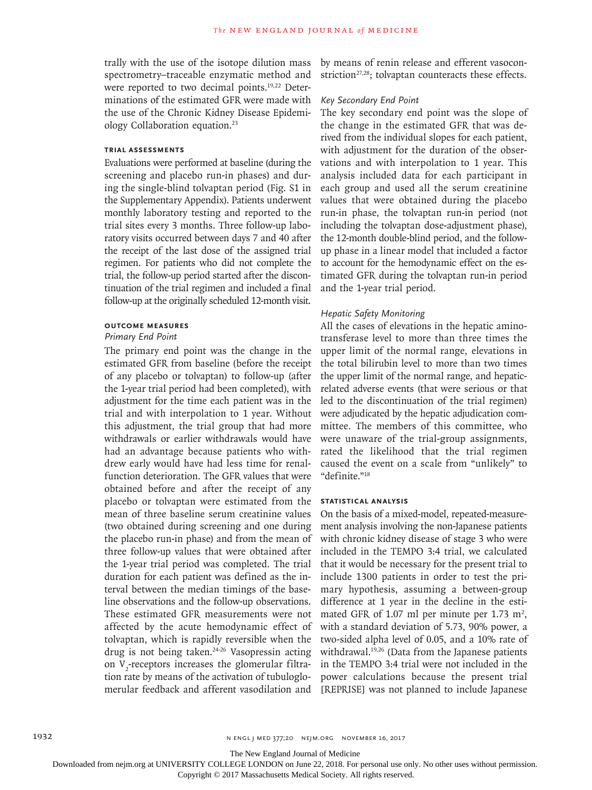trally with the use of the isotope dilution mass spectrometry–traceable enzymatic method and were reported to two decimal points.<sup>19,22</sup> Determinations of the estimated GFR were made with the use of the Chronic Kidney Disease Epidemiology Collaboration equation.23

# **Trial Assessments**

Evaluations were performed at baseline (during the screening and placebo run-in phases) and during the single-blind tolvaptan period (Fig. S1 in the Supplementary Appendix). Patients underwent monthly laboratory testing and reported to the trial sites every 3 months. Three follow-up laboratory visits occurred between days 7 and 40 after the receipt of the last dose of the assigned trial regimen. For patients who did not complete the trial, the follow-up period started after the discontinuation of the trial regimen and included a final follow-up at the originally scheduled 12-month visit.

# **Outcome Measures**

# *Primary End Point*

The primary end point was the change in the estimated GFR from baseline (before the receipt of any placebo or tolvaptan) to follow-up (after the 1-year trial period had been completed), with adjustment for the time each patient was in the trial and with interpolation to 1 year. Without this adjustment, the trial group that had more withdrawals or earlier withdrawals would have had an advantage because patients who withdrew early would have had less time for renalfunction deterioration. The GFR values that were obtained before and after the receipt of any placebo or tolvaptan were estimated from the mean of three baseline serum creatinine values (two obtained during screening and one during the placebo run-in phase) and from the mean of three follow-up values that were obtained after the 1-year trial period was completed. The trial duration for each patient was defined as the interval between the median timings of the baseline observations and the follow-up observations. These estimated GFR measurements were not affected by the acute hemodynamic effect of tolvaptan, which is rapidly reversible when the drug is not being taken.<sup>24-26</sup> Vasopressin acting on  $V_2$ -receptors increases the glomerular filtration rate by means of the activation of tubuloglomerular feedback and afferent vasodilation and by means of renin release and efferent vasoconstriction<sup>27,28</sup>; tolvaptan counteracts these effects.

# *Key Secondary End Point*

The key secondary end point was the slope of the change in the estimated GFR that was derived from the individual slopes for each patient, with adjustment for the duration of the observations and with interpolation to 1 year. This analysis included data for each participant in each group and used all the serum creatinine values that were obtained during the placebo run-in phase, the tolvaptan run-in period (not including the tolvaptan dose-adjustment phase), the 12-month double-blind period, and the followup phase in a linear model that included a factor to account for the hemodynamic effect on the estimated GFR during the tolvaptan run-in period and the 1-year trial period.

# *Hepatic Safety Monitoring*

All the cases of elevations in the hepatic aminotransferase level to more than three times the upper limit of the normal range, elevations in the total bilirubin level to more than two times the upper limit of the normal range, and hepaticrelated adverse events (that were serious or that led to the discontinuation of the trial regimen) were adjudicated by the hepatic adjudication committee. The members of this committee, who were unaware of the trial-group assignments, rated the likelihood that the trial regimen caused the event on a scale from "unlikely" to "definite."18

# **Statistical Analysis**

On the basis of a mixed-model, repeated-measurement analysis involving the non-Japanese patients with chronic kidney disease of stage 3 who were included in the TEMPO 3:4 trial, we calculated that it would be necessary for the present trial to include 1300 patients in order to test the primary hypothesis, assuming a between-group difference at 1 year in the decline in the estimated GFR of 1.07 ml per minute per 1.73 m<sup>2</sup>, with a standard deviation of 5.73, 90% power, a two-sided alpha level of 0.05, and a 10% rate of withdrawal.<sup>19,26</sup> (Data from the Japanese patients in the TEMPO 3:4 trial were not included in the power calculations because the present trial [REPRISE] was not planned to include Japanese

The New England Journal of Medicine

Downloaded from nejm.org at UNIVERSITY COLLEGE LONDON on June 22, 2018. For personal use only. No other uses without permission.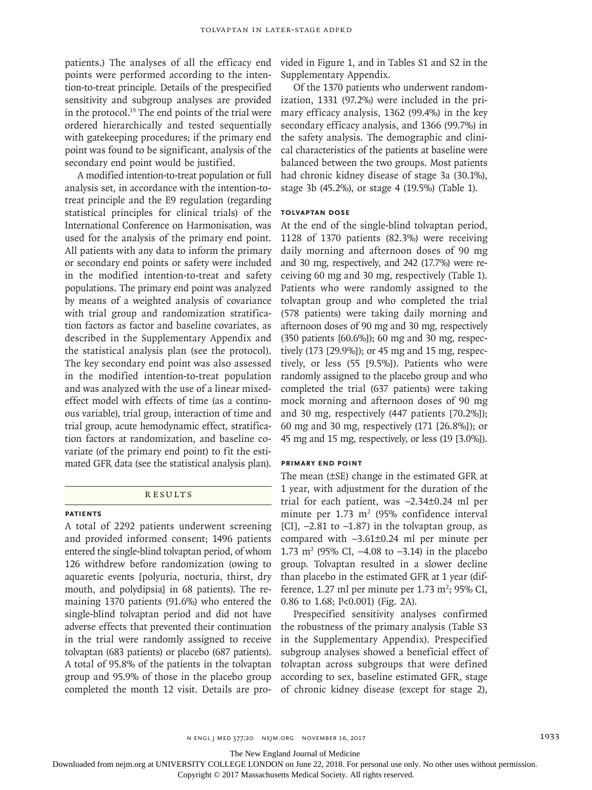patients.) The analyses of all the efficacy end points were performed according to the intention-to-treat principle. Details of the prespecified sensitivity and subgroup analyses are provided in the protocol.19 The end points of the trial were ordered hierarchically and tested sequentially with gatekeeping procedures; if the primary end point was found to be significant, analysis of the secondary end point would be justified.

A modified intention-to-treat population or full analysis set, in accordance with the intention-totreat principle and the E9 regulation (regarding statistical principles for clinical trials) of the International Conference on Harmonisation, was used for the analysis of the primary end point. All patients with any data to inform the primary or secondary end points or safety were included in the modified intention-to-treat and safety populations. The primary end point was analyzed by means of a weighted analysis of covariance with trial group and randomization stratification factors as factor and baseline covariates, as described in the Supplementary Appendix and the statistical analysis plan (see the protocol). The key secondary end point was also assessed in the modified intention-to-treat population and was analyzed with the use of a linear mixedeffect model with effects of time (as a continuous variable), trial group, interaction of time and trial group, acute hemodynamic effect, stratification factors at randomization, and baseline covariate (of the primary end point) to fit the estimated GFR data (see the statistical analysis plan).

# **RESULTS**

#### **Patients**

A total of 2292 patients underwent screening and provided informed consent; 1496 patients entered the single-blind tolvaptan period, of whom 126 withdrew before randomization (owing to aquaretic events [polyuria, nocturia, thirst, dry mouth, and polydipsia] in 68 patients). The remaining 1370 patients (91.6%) who entered the single-blind tolvaptan period and did not have adverse effects that prevented their continuation in the trial were randomly assigned to receive tolvaptan (683 patients) or placebo (687 patients). A total of 95.8% of the patients in the tolvaptan group and 95.9% of those in the placebo group completed the month 12 visit. Details are pro-

vided in Figure 1, and in Tables S1 and S2 in the Supplementary Appendix.

Of the 1370 patients who underwent randomization, 1331 (97.2%) were included in the primary efficacy analysis, 1362 (99.4%) in the key secondary efficacy analysis, and 1366 (99.7%) in the safety analysis. The demographic and clinical characteristics of the patients at baseline were balanced between the two groups. Most patients had chronic kidney disease of stage 3a (30.1%), stage 3b (45.2%), or stage 4 (19.5%) (Table 1).

#### **Tolvaptan Dose**

At the end of the single-blind tolvaptan period, 1128 of 1370 patients (82.3%) were receiving daily morning and afternoon doses of 90 mg and 30 mg, respectively, and 242 (17.7%) were receiving 60 mg and 30 mg, respectively (Table 1). Patients who were randomly assigned to the tolvaptan group and who completed the trial (578 patients) were taking daily morning and afternoon doses of 90 mg and 30 mg, respectively (350 patients [60.6%]); 60 mg and 30 mg, respectively (173 [29.9%]); or 45 mg and 15 mg, respectively, or less (55 [9.5%]). Patients who were randomly assigned to the placebo group and who completed the trial (637 patients) were taking mock morning and afternoon doses of 90 mg and 30 mg, respectively (447 patients [70.2%]); 60 mg and 30 mg, respectively (171 [26.8%]); or 45 mg and 15 mg, respectively, or less (19 [3.0%]).

## **Primary End Point**

The mean (±SE) change in the estimated GFR at 1 year, with adjustment for the duration of the trial for each patient, was −2.34±0.24 ml per minute per  $1.73 \text{ m}^2$  (95% confidence interval [CI],  $-2.81$  to  $-1.87$ ) in the tolvaptan group, as compared with −3.61±0.24 ml per minute per 1.73 m<sup>2</sup> (95% CI,  $-4.08$  to  $-3.14$ ) in the placebo group. Tolvaptan resulted in a slower decline than placebo in the estimated GFR at 1 year (difference, 1.27 ml per minute per 1.73 m<sup>2</sup>; 95% CI, 0.86 to 1.68; P<0.001) (Fig. 2A).

Prespecified sensitivity analyses confirmed the robustness of the primary analysis (Table S3 in the Supplementary Appendix). Prespecified subgroup analyses showed a beneficial effect of tolvaptan across subgroups that were defined according to sex, baseline estimated GFR, stage of chronic kidney disease (except for stage 2),

n engl j med 377;20 nejm.org November 16, 2017 1933

The New England Journal of Medicine

Downloaded from nejm.org at UNIVERSITY COLLEGE LONDON on June 22, 2018. For personal use only. No other uses without permission.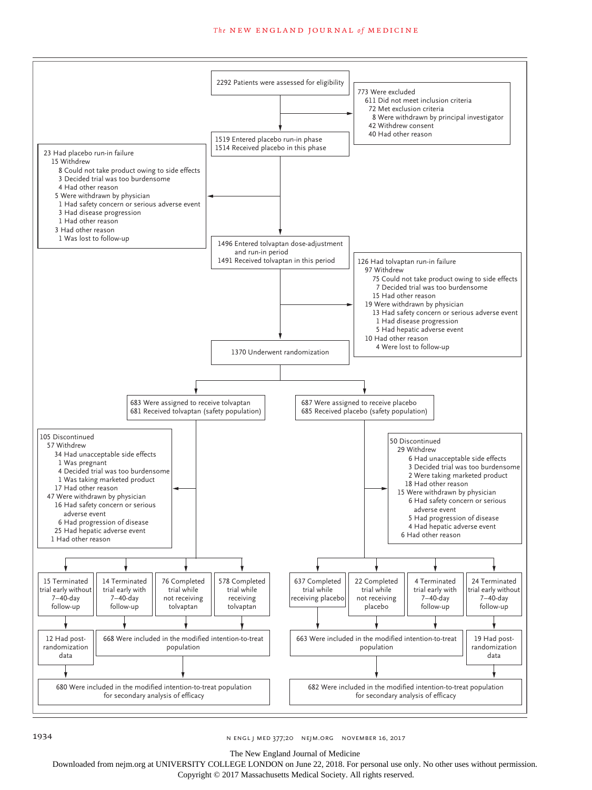#### **The NEW ENGLAND JOURNAL of MEDICINE**



1934 **n engl j med 377;20** N ENGL J MED 377;20 NEJM.ORG NOVEMBER 16, 2017

The New England Journal of Medicine

Downloaded from nejm.org at UNIVERSITY COLLEGE LONDON on June 22, 2018. For personal use only. No other uses without permission.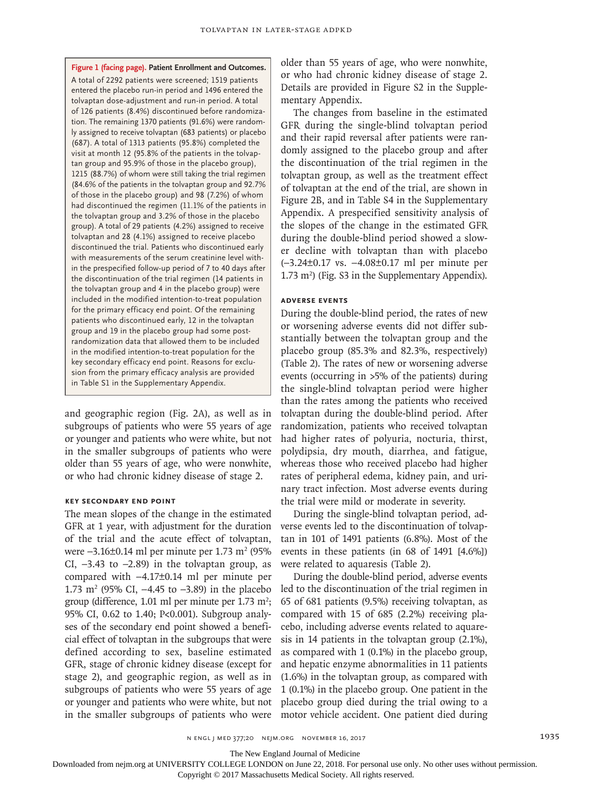**Figure 1 (facing page). Patient Enrollment and Outcomes.** A total of 2292 patients were screened; 1519 patients entered the placebo run-in period and 1496 entered the tolvaptan dose-adjustment and run-in period. A total of 126 patients (8.4%) discontinued before randomization. The remaining 1370 patients (91.6%) were randomly assigned to receive tolvaptan (683 patients) or placebo (687). A total of 1313 patients (95.8%) completed the visit at month 12 (95.8% of the patients in the tolvaptan group and 95.9% of those in the placebo group), 1215 (88.7%) of whom were still taking the trial regimen (84.6% of the patients in the tolvaptan group and 92.7% of those in the placebo group) and 98 (7.2%) of whom had discontinued the regimen (11.1% of the patients in the tolvaptan group and 3.2% of those in the placebo group). A total of 29 patients (4.2%) assigned to receive tolvaptan and 28 (4.1%) assigned to receive placebo discontinued the trial. Patients who discontinued early with measurements of the serum creatinine level within the prespecified follow-up period of 7 to 40 days after the discontinuation of the trial regimen (14 patients in the tolvaptan group and 4 in the placebo group) were included in the modified intention-to-treat population for the primary efficacy end point. Of the remaining patients who discontinued early, 12 in the tolvaptan group and 19 in the placebo group had some postrandomization data that allowed them to be included in the modified intention-to-treat population for the key secondary efficacy end point. Reasons for exclusion from the primary efficacy analysis are provided in Table S1 in the Supplementary Appendix.

and geographic region (Fig. 2A), as well as in subgroups of patients who were 55 years of age or younger and patients who were white, but not in the smaller subgroups of patients who were older than 55 years of age, who were nonwhite, or who had chronic kidney disease of stage 2.

# **Key Secondary End Point**

The mean slopes of the change in the estimated GFR at 1 year, with adjustment for the duration of the trial and the acute effect of tolvaptan, were –3.16±0.14 ml per minute per 1.73 m<sup>2</sup> (95% CI, −3.43 to −2.89) in the tolvaptan group, as compared with −4.17±0.14 ml per minute per 1.73 m<sup>2</sup> (95% CI,  $-4.45$  to  $-3.89$ ) in the placebo group (difference,  $1.01$  ml per minute per  $1.73$  m<sup>2</sup>; 95% CI, 0.62 to 1.40; P<0.001). Subgroup analyses of the secondary end point showed a beneficial effect of tolvaptan in the subgroups that were defined according to sex, baseline estimated GFR, stage of chronic kidney disease (except for stage 2), and geographic region, as well as in subgroups of patients who were 55 years of age or younger and patients who were white, but not in the smaller subgroups of patients who were

older than 55 years of age, who were nonwhite, or who had chronic kidney disease of stage 2. Details are provided in Figure S2 in the Supplementary Appendix.

The changes from baseline in the estimated GFR during the single-blind tolvaptan period and their rapid reversal after patients were randomly assigned to the placebo group and after the discontinuation of the trial regimen in the tolvaptan group, as well as the treatment effect of tolvaptan at the end of the trial, are shown in Figure 2B, and in Table S4 in the Supplementary Appendix. A prespecified sensitivity analysis of the slopes of the change in the estimated GFR during the double-blind period showed a slower decline with tolvaptan than with placebo (−3.24±0.17 vs. −4.08±0.17 ml per minute per  $1.73$  m<sup>2</sup>) (Fig. S3 in the Supplementary Appendix).

# **Adverse Events**

During the double-blind period, the rates of new or worsening adverse events did not differ substantially between the tolvaptan group and the placebo group (85.3% and 82.3%, respectively) (Table 2). The rates of new or worsening adverse events (occurring in >5% of the patients) during the single-blind tolvaptan period were higher than the rates among the patients who received tolvaptan during the double-blind period. After randomization, patients who received tolvaptan had higher rates of polyuria, nocturia, thirst, polydipsia, dry mouth, diarrhea, and fatigue, whereas those who received placebo had higher rates of peripheral edema, kidney pain, and urinary tract infection. Most adverse events during the trial were mild or moderate in severity.

During the single-blind tolvaptan period, adverse events led to the discontinuation of tolvaptan in 101 of 1491 patients (6.8%). Most of the events in these patients (in 68 of 1491 [4.6%]) were related to aquaresis (Table 2).

During the double-blind period, adverse events led to the discontinuation of the trial regimen in 65 of 681 patients (9.5%) receiving tolvaptan, as compared with 15 of 685 (2.2%) receiving placebo, including adverse events related to aquaresis in 14 patients in the tolvaptan group (2.1%), as compared with 1 (0.1%) in the placebo group, and hepatic enzyme abnormalities in 11 patients (1.6%) in the tolvaptan group, as compared with 1 (0.1%) in the placebo group. One patient in the placebo group died during the trial owing to a motor vehicle accident. One patient died during

The New England Journal of Medicine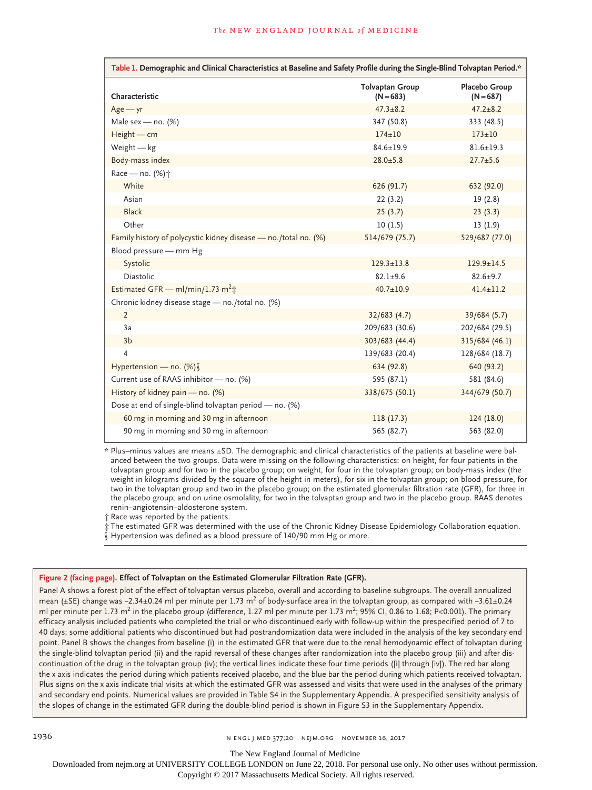| Table 1. Demographic and Clinical Characteristics at Baseline and Safety Profile during the Single-Blind Tolvaptan Period.* |                                       |                              |  |  |  |
|-----------------------------------------------------------------------------------------------------------------------------|---------------------------------------|------------------------------|--|--|--|
| Characteristic                                                                                                              | <b>Tolvaptan Group</b><br>$(N = 683)$ | Placebo Group<br>$(N = 687)$ |  |  |  |
| $Age - yr$                                                                                                                  | $47.3 + 8.2$                          | $47.2 + 8.2$                 |  |  |  |
| Male sex - no. $(%)$                                                                                                        | 347 (50.8)                            | 333 (48.5)                   |  |  |  |
| $Height - cm$                                                                                                               | $174 \pm 10$                          | $173 \pm 10$                 |  |  |  |
| Weight $-$ kg                                                                                                               | $84.6 \pm 19.9$                       | $81.6 \pm 19.3$              |  |  |  |
| Body-mass index                                                                                                             | $28.0 \pm 5.8$                        | $27.7 \pm 5.6$               |  |  |  |
| Race - no. (%) +                                                                                                            |                                       |                              |  |  |  |
| White                                                                                                                       | 626 (91.7)                            | 632 (92.0)                   |  |  |  |
| Asian                                                                                                                       | 22(3.2)                               | 19(2.8)                      |  |  |  |
| <b>Black</b>                                                                                                                | 25(3.7)                               | 23(3.3)                      |  |  |  |
| Other                                                                                                                       | 10(1.5)                               | 13(1.9)                      |  |  |  |
| Family history of polycystic kidney disease - no./total no. (%)                                                             | 514/679 (75.7)                        | 529/687 (77.0)               |  |  |  |
| Blood pressure - mm Hg                                                                                                      |                                       |                              |  |  |  |
| Systolic                                                                                                                    | $129.3 \pm 13.8$                      | $129.9 \pm 14.5$             |  |  |  |
| <b>Diastolic</b>                                                                                                            | $82.1 + 9.6$                          | $82.6 \pm 9.7$               |  |  |  |
| Estimated GFR - ml/min/1.73 m <sup>2</sup> $\ddot{x}$                                                                       | $40.7 + 10.9$                         | $41.4 + 11.2$                |  |  |  |
| Chronic kidney disease stage - no./total no. (%)                                                                            |                                       |                              |  |  |  |
| $\overline{2}$                                                                                                              | 32/683(4.7)                           | 39/684(5.7)                  |  |  |  |
| 3a                                                                                                                          | 209/683 (30.6)                        | 202/684 (29.5)               |  |  |  |
| 3 <sub>b</sub>                                                                                                              | 303/683 (44.4)                        | 315/684 (46.1)               |  |  |  |
| $\overline{4}$                                                                                                              | 139/683 (20.4)                        | 128/684 (18.7)               |  |  |  |
| Hypertension - no. (%) \                                                                                                    | 634 (92.8)                            | 640 (93.2)                   |  |  |  |
| Current use of RAAS inhibitor - no. (%)                                                                                     | 595 (87.1)                            | 581 (84.6)                   |  |  |  |
| History of kidney pain - no. (%)                                                                                            | 338/675 (50.1)                        | 344/679 (50.7)               |  |  |  |
| Dose at end of single-blind tolvaptan period - no. (%)                                                                      |                                       |                              |  |  |  |
| 60 mg in morning and 30 mg in afternoon                                                                                     | 118(17.3)                             | 124(18.0)                    |  |  |  |
| 90 mg in morning and 30 mg in afternoon                                                                                     | 565 (82.7)                            | 563 (82.0)                   |  |  |  |

\* Plus–minus values are means ±SD. The demographic and clinical characteristics of the patients at baseline were balanced between the two groups. Data were missing on the following characteristics: on height, for four patients in the tolvaptan group and for two in the placebo group; on weight, for four in the tolvaptan group; on body-mass index (the weight in kilograms divided by the square of the height in meters), for six in the tolvaptan group; on blood pressure, for two in the tolvaptan group and two in the placebo group; on the estimated glomerular filtration rate (GFR), for three in the placebo group; and on urine osmolality, for two in the tolvaptan group and two in the placebo group. RAAS denotes renin–angiotensin–aldosterone system.

† Race was reported by the patients.

The estimated GFR was determined with the use of the Chronic Kidney Disease Epidemiology Collaboration equation. Hypertension was defined as a blood pressure of 140/90 mm Hg or more.

#### **Figure 2 (facing page). Effect of Tolvaptan on the Estimated Glomerular Filtration Rate (GFR).**

Panel A shows a forest plot of the effect of tolvaptan versus placebo, overall and according to baseline subgroups. The overall annualized mean (±SE) change was −2.34±0.24 ml per minute per 1.73 m<sup>2</sup> of body-surface area in the tolvaptan group, as compared with −3.61±0.24 ml per minute per 1.73 m<sup>2</sup> in the placebo group (difference, 1.27 ml per minute per 1.73 m<sup>2</sup>; 95% CI, 0.86 to 1.68; P<0.001). The primary efficacy analysis included patients who completed the trial or who discontinued early with follow-up within the prespecified period of 7 to 40 days; some additional patients who discontinued but had postrandomization data were included in the analysis of the key secondary end point. Panel B shows the changes from baseline (i) in the estimated GFR that were due to the renal hemodynamic effect of tolvaptan during the single-blind tolvaptan period (ii) and the rapid reversal of these changes after randomization into the placebo group (iii) and after discontinuation of the drug in the tolvaptan group (iv); the vertical lines indicate these four time periods ([i] through [iv]). The red bar along the x axis indicates the period during which patients received placebo, and the blue bar the period during which patients received tolvaptan. Plus signs on the x axis indicate trial visits at which the estimated GFR was assessed and visits that were used in the analyses of the primary and secondary end points. Numerical values are provided in Table S4 in the Supplementary Appendix. A prespecified sensitivity analysis of the slopes of change in the estimated GFR during the double-blind period is shown in Figure S3 in the Supplementary Appendix.

1936 **n engl j med 377;20 NEM.** ORG NOVEMBER 16, 2017

The New England Journal of Medicine

Downloaded from nejm.org at UNIVERSITY COLLEGE LONDON on June 22, 2018. For personal use only. No other uses without permission.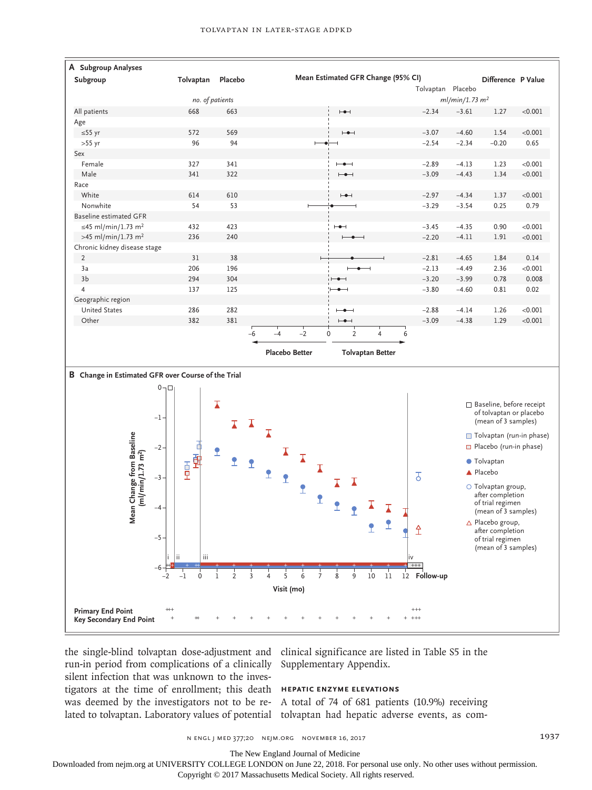

run-in period from complications of a clinically Supplementary Appendix. silent infection that was unknown to the investigators at the time of enrollment; this death **Hepatic Enzyme Elevations** was deemed by the investigators not to be re-A total of 74 of 681 patients (10.9%) receiving lated to tolvaptan. Laboratory values of potential tolvaptan had hepatic adverse events, as com-

the single-blind tolvaptan dose-adjustment and clinical significance are listed in Table S5 in the

n engl j med 377;20 nejm.org November 16, 2017 1937

The New England Journal of Medicine

Downloaded from nejm.org at UNIVERSITY COLLEGE LONDON on June 22, 2018. For personal use only. No other uses without permission.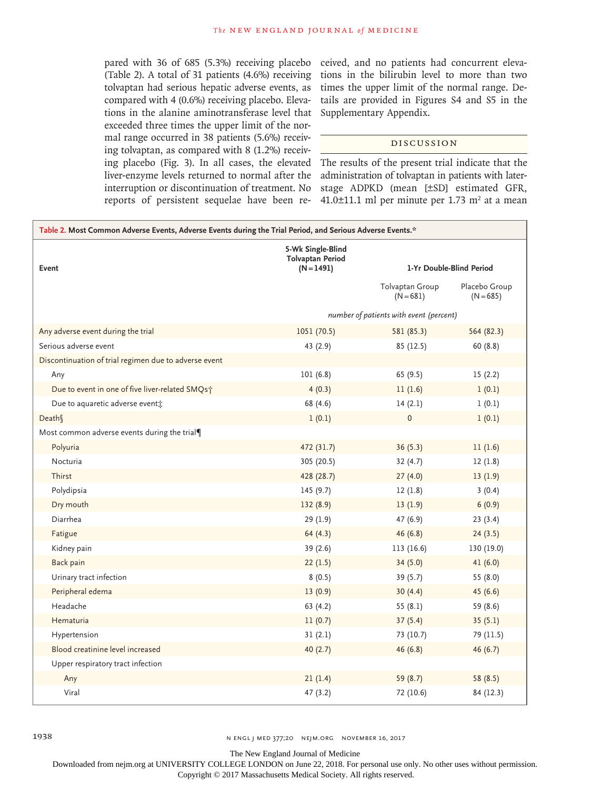pared with 36 of 685 (5.3%) receiving placebo (Table 2). A total of 31 patients (4.6%) receiving tolvaptan had serious hepatic adverse events, as compared with 4 (0.6%) receiving placebo. Elevations in the alanine aminotransferase level that exceeded three times the upper limit of the normal range occurred in 38 patients (5.6%) receiving tolvaptan, as compared with 8 (1.2%) receiving placebo (Fig. 3). In all cases, the elevated liver-enzyme levels returned to normal after the interruption or discontinuation of treatment. No reports of persistent sequelae have been re-

ceived, and no patients had concurrent elevations in the bilirubin level to more than two times the upper limit of the normal range. Details are provided in Figures S4 and S5 in the Supplementary Appendix.

# Discussion

The results of the present trial indicate that the administration of tolvaptan in patients with laterstage ADPKD (mean [±SD] estimated GFR,  $41.0 \pm 11.1$  ml per minute per 1.73 m<sup>2</sup> at a mean

| Table 2. Most Common Adverse Events, Adverse Events during the Trial Period, and Serious Adverse Events.* |                                                            |                                |                              |  |
|-----------------------------------------------------------------------------------------------------------|------------------------------------------------------------|--------------------------------|------------------------------|--|
| Event                                                                                                     | 5-Wk Single-Blind<br><b>Tolvaptan Period</b><br>$(N=1491)$ | 1-Yr Double-Blind Period       |                              |  |
|                                                                                                           |                                                            | Tolvaptan Group<br>$(N = 681)$ | Placebo Group<br>$(N = 685)$ |  |
|                                                                                                           | number of patients with event (percent)                    |                                |                              |  |
| Any adverse event during the trial                                                                        | 1051(70.5)                                                 | 581 (85.3)                     | 564 (82.3)                   |  |
| Serious adverse event                                                                                     | 43 (2.9)                                                   | 85 (12.5)                      | 60(8.8)                      |  |
| Discontinuation of trial regimen due to adverse event                                                     |                                                            |                                |                              |  |
| Any                                                                                                       | 101(6.8)                                                   | 65 (9.5)                       | 15(2.2)                      |  |
| Due to event in one of five liver-related SMQs+                                                           | 4(0.3)                                                     | 11(1.6)                        | 1(0.1)                       |  |
| Due to aquaretic adverse event;                                                                           | 68 (4.6)                                                   | 14(2.1)                        | 1(0.1)                       |  |
| Death                                                                                                     | 1(0.1)                                                     | $\pmb{0}$                      | 1(0.1)                       |  |
| Most common adverse events during the trial                                                               |                                                            |                                |                              |  |
| Polyuria                                                                                                  | 472 (31.7)                                                 | 36(5.3)                        | 11(1.6)                      |  |
| Nocturia                                                                                                  | 305 (20.5)                                                 | 32(4.7)                        | 12(1.8)                      |  |
| Thirst                                                                                                    | 428 (28.7)                                                 | 27(4.0)                        | 13(1.9)                      |  |
| Polydipsia                                                                                                | 145(9.7)                                                   | 12(1.8)                        | 3(0.4)                       |  |
| Dry mouth                                                                                                 | 132(8.9)                                                   | 13(1.9)                        | 6(0.9)                       |  |
| Diarrhea                                                                                                  | 29 (1.9)                                                   | 47 (6.9)                       | 23(3.4)                      |  |
| Fatigue                                                                                                   | 64(4.3)                                                    | 46 (6.8)                       | 24(3.5)                      |  |
| Kidney pain                                                                                               | 39 (2.6)                                                   | 113 (16.6)                     | 130 (19.0)                   |  |
| Back pain                                                                                                 | 22(1.5)                                                    | 34(5.0)                        | 41(6.0)                      |  |
| Urinary tract infection                                                                                   | 8(0.5)                                                     | 39 (5.7)                       | 55 (8.0)                     |  |
| Peripheral edema                                                                                          | 13(0.9)                                                    | 30(4.4)                        | 45(6.6)                      |  |
| Headache                                                                                                  | 63(4.2)                                                    | 55(8.1)                        | 59 (8.6)                     |  |
| Hematuria                                                                                                 | 11(0.7)                                                    | 37(5.4)                        | 35(5.1)                      |  |
| Hypertension                                                                                              | 31(2.1)                                                    | 73 (10.7)                      | 79 (11.5)                    |  |
| Blood creatinine level increased                                                                          | 40 (2.7)                                                   | 46 (6.8)                       | 46(6.7)                      |  |
| Upper respiratory tract infection                                                                         |                                                            |                                |                              |  |
| Any                                                                                                       | 21(1.4)                                                    | 59 (8.7)                       | 58 (8.5)                     |  |
| Viral                                                                                                     | 47 (3.2)                                                   | 72 (10.6)                      | 84 (12.3)                    |  |

1938 1938 n engl j med 377;20 nejm.org November 16, 2017

The New England Journal of Medicine

Downloaded from nejm.org at UNIVERSITY COLLEGE LONDON on June 22, 2018. For personal use only. No other uses without permission.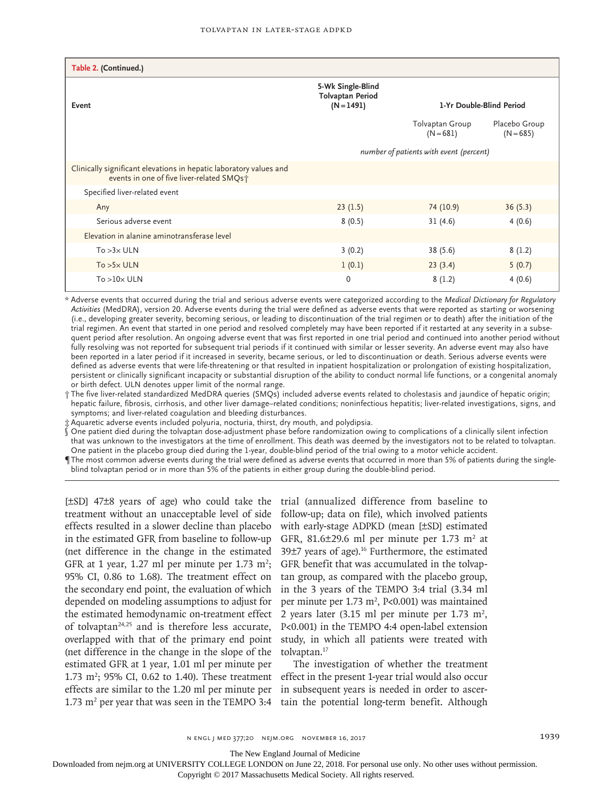| Table 2. (Continued.)                                                                                           |                                                              |                                |                              |  |
|-----------------------------------------------------------------------------------------------------------------|--------------------------------------------------------------|--------------------------------|------------------------------|--|
| Event                                                                                                           | 5-Wk Single-Blind<br><b>Tolvaptan Period</b><br>$(N = 1491)$ | 1-Yr Double-Blind Period       |                              |  |
|                                                                                                                 |                                                              | Tolvaptan Group<br>$(N = 681)$ | Placebo Group<br>$(N = 685)$ |  |
|                                                                                                                 | number of patients with event (percent)                      |                                |                              |  |
| Clinically significant elevations in hepatic laboratory values and<br>events in one of five liver-related SMQs+ |                                                              |                                |                              |  |
| Specified liver-related event                                                                                   |                                                              |                                |                              |  |
| Any                                                                                                             | 23(1.5)                                                      | 74 (10.9)                      | 36(5.3)                      |  |
| Serious adverse event                                                                                           | 8(0.5)                                                       | 31(4.6)                        | 4(0.6)                       |  |
| Elevation in alanine aminotransferase level                                                                     |                                                              |                                |                              |  |
| $To > 3 \times ULN$                                                                                             | 3(0.2)                                                       | 38 (5.6)                       | 8(1.2)                       |  |
| $To > 5 \times ULN$                                                                                             | 1(0.1)                                                       | 23(3.4)                        | 5(0.7)                       |  |
| $To > 10 \times ULN$                                                                                            | $\mathbf 0$                                                  | 8(1.2)                         | 4(0.6)                       |  |

\* Adverse events that occurred during the trial and serious adverse events were categorized according to the *Medical Dictionary for Regulatory Activities* (MedDRA), version 20. Adverse events during the trial were defined as adverse events that were reported as starting or worsening (i.e., developing greater severity, becoming serious, or leading to discontinuation of the trial regimen or to death) after the initiation of the trial regimen. An event that started in one period and resolved completely may have been reported if it restarted at any severity in a subsequent period after resolution. An ongoing adverse event that was first reported in one trial period and continued into another period without fully resolving was not reported for subsequent trial periods if it continued with similar or lesser severity. An adverse event may also have been reported in a later period if it increased in severity, became serious, or led to discontinuation or death. Serious adverse events were defined as adverse events that were life-threatening or that resulted in inpatient hospitalization or prolongation of existing hospitalization, persistent or clinically significant incapacity or substantial disruption of the ability to conduct normal life functions, or a congenital anomaly or birth defect. ULN denotes upper limit of the normal range.

† The five liver-related standardized MedDRA queries (SMQs) included adverse events related to cholestasis and jaundice of hepatic origin; hepatic failure, fibrosis, cirrhosis, and other liver damage–related conditions; noninfectious hepatitis; liver-related investigations, signs, and symptoms; and liver-related coagulation and bleeding disturbances.

‡ Aquaretic adverse events included polyuria, nocturia, thirst, dry mouth, and polydipsia.

§ One patient died during the tolvaptan dose-adjustment phase before randomization owing to complications of a clinically silent infection that was unknown to the investigators at the time of enrollment. This death was deemed by the investigators not to be related to tolvaptan. One patient in the placebo group died during the 1-year, double-blind period of the trial owing to a motor vehicle accident.

¶ The most common adverse events during the trial were defined as adverse events that occurred in more than 5% of patients during the singleblind tolvaptan period or in more than 5% of the patients in either group during the double-blind period.

treatment without an unacceptable level of side effects resulted in a slower decline than placebo in the estimated GFR from baseline to follow-up (net difference in the change in the estimated GFR at 1 year, 1.27 ml per minute per 1.73 m<sup>2</sup>; 95% CI, 0.86 to 1.68). The treatment effect on the secondary end point, the evaluation of which depended on modeling assumptions to adjust for the estimated hemodynamic on-treatment effect of tolvaptan $24,25$  and is therefore less accurate, overlapped with that of the primary end point (net difference in the change in the slope of the estimated GFR at 1 year, 1.01 ml per minute per 1.73  $\text{m}^2$ ; 95% CI, 0.62 to 1.40). These treatment effect in the present 1-year trial would also occur effects are similar to the 1.20 ml per minute per  $1.73 \text{ m}^2$  per year that was seen in the TEMPO 3:4

[±SD] 47±8 years of age) who could take the trial (annualized difference from baseline to follow-up; data on file), which involved patients with early-stage ADPKD (mean [±SD] estimated GFR, 81.6 $\pm$ 29.6 ml per minute per 1.73 m<sup>2</sup> at  $39±7$  years of age).<sup>16</sup> Furthermore, the estimated GFR benefit that was accumulated in the tolvaptan group, as compared with the placebo group, in the 3 years of the TEMPO 3:4 trial (3.34 ml per minute per  $1.73 \text{ m}^2$ , P<0.001) was maintained 2 years later  $(3.15 \text{ ml per minute per } 1.73 \text{ m}^2,$ P<0.001) in the TEMPO 4:4 open-label extension study, in which all patients were treated with tolvaptan.17

> The investigation of whether the treatment in subsequent years is needed in order to ascertain the potential long-term benefit. Although

The New England Journal of Medicine

Downloaded from nejm.org at UNIVERSITY COLLEGE LONDON on June 22, 2018. For personal use only. No other uses without permission.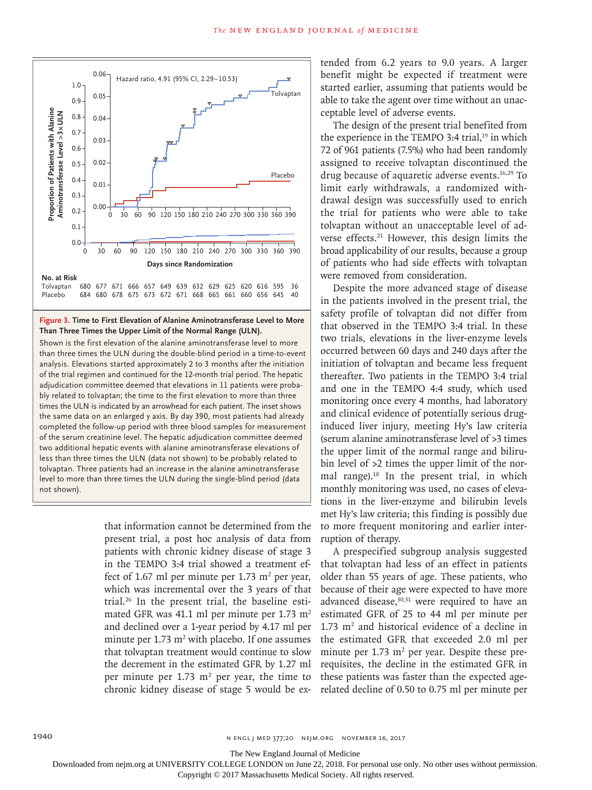

# **Figure 3. Time to First Elevation of Alanine Aminotransferase Level to More Than Three Times the Upper Limit of the Normal Range (ULN).**

Shown is the first elevation of the alanine aminotransferase level to more than three times the ULN during the double-blind period in a time-to-event analysis. Elevations started approximately 2 to 3 months after the initiation of the trial regimen and continued for the 12-month trial period. The hepatic adjudication committee deemed that elevations in 11 patients were probably related to tolvaptan; the time to the first elevation to more than three times the ULN is indicated by an arrowhead for each patient. The inset shows the same data on an enlarged y axis. By day 390, most patients had already completed the follow-up period with three blood samples for measurement of the serum creatinine level. The hepatic adjudication committee deemed two additional hepatic events with alanine aminotransferase elevations of less than three times the ULN (data not shown) to be probably related to tolvaptan. Three patients had an increase in the alanine aminotransferase level to more than three times the ULN during the single-blind period (data not shown).

> that information cannot be determined from the present trial, a post hoc analysis of data from patients with chronic kidney disease of stage 3 in the TEMPO 3:4 trial showed a treatment effect of 1.67 ml per minute per 1.73 m<sup>2</sup> per year, which was incremental over the 3 years of that trial.26 In the present trial, the baseline estimated GFR was 41.1 ml per minute per 1.73 m<sup>2</sup> and declined over a 1-year period by 4.17 ml per minute per  $1.73 \text{ m}^2$  with placebo. If one assumes that tolvaptan treatment would continue to slow the decrement in the estimated GFR by 1.27 ml per minute per  $1.73 \text{ m}^2$  per year, the time to chronic kidney disease of stage 5 would be ex

tended from 6.2 years to 9.0 years. A larger benefit might be expected if treatment were started earlier, assuming that patients would be able to take the agent over time without an unacceptable level of adverse events.

The design of the present trial benefited from the experience in the TEMPO 3:4 trial,<sup>19</sup> in which 72 of 961 patients (7.5%) who had been randomly assigned to receive tolvaptan discontinued the drug because of aquaretic adverse events.16,29 To limit early withdrawals, a randomized withdrawal design was successfully used to enrich the trial for patients who were able to take tolvaptan without an unacceptable level of adverse effects.<sup>21</sup> However, this design limits the broad applicability of our results, because a group of patients who had side effects with tolvaptan were removed from consideration.

Despite the more advanced stage of disease in the patients involved in the present trial, the safety profile of tolvaptan did not differ from that observed in the TEMPO 3:4 trial. In these two trials, elevations in the liver-enzyme levels occurred between 60 days and 240 days after the initiation of tolvaptan and became less frequent thereafter. Two patients in the TEMPO 3:4 trial and one in the TEMPO 4:4 study, which used monitoring once every 4 months, had laboratory and clinical evidence of potentially serious druginduced liver injury, meeting Hy's law criteria (serum alanine aminotransferase level of >3 times the upper limit of the normal range and bilirubin level of >2 times the upper limit of the normal range).<sup>18</sup> In the present trial, in which monthly monitoring was used, no cases of elevations in the liver-enzyme and bilirubin levels met Hy's law criteria; this finding is possibly due to more frequent monitoring and earlier interruption of therapy.

A prespecified subgroup analysis suggested that tolvaptan had less of an effect in patients older than 55 years of age. These patients, who because of their age were expected to have more advanced disease, $30,31$  were required to have an estimated GFR of 25 to 44 ml per minute per  $1.73 \text{ m}^2$  and historical evidence of a decline in the estimated GFR that exceeded 2.0 ml per minute per  $1.73 \text{ m}^2$  per year. Despite these prerequisites, the decline in the estimated GFR in these patients was faster than the expected agerelated decline of 0.50 to 0.75 ml per minute per

The New England Journal of Medicine

Downloaded from nejm.org at UNIVERSITY COLLEGE LONDON on June 22, 2018. For personal use only. No other uses without permission.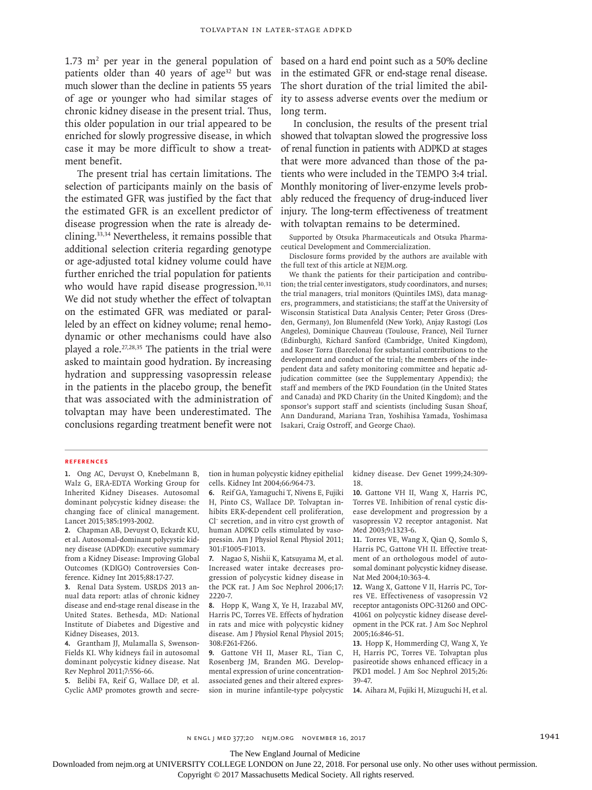$1.73$  m<sup>2</sup> per year in the general population of patients older than 40 years of age<sup>32</sup> but was much slower than the decline in patients 55 years of age or younger who had similar stages of chronic kidney disease in the present trial. Thus, this older population in our trial appeared to be enriched for slowly progressive disease, in which case it may be more difficult to show a treatment benefit.

The present trial has certain limitations. The selection of participants mainly on the basis of the estimated GFR was justified by the fact that the estimated GFR is an excellent predictor of disease progression when the rate is already declining.33,34 Nevertheless, it remains possible that additional selection criteria regarding genotype or age-adjusted total kidney volume could have further enriched the trial population for patients who would have rapid disease progression.<sup>30,31</sup> We did not study whether the effect of tolvaptan on the estimated GFR was mediated or paralleled by an effect on kidney volume; renal hemodynamic or other mechanisms could have also played a role.<sup>27,28,35</sup> The patients in the trial were asked to maintain good hydration. By increasing hydration and suppressing vasopressin release in the patients in the placebo group, the benefit that was associated with the administration of tolvaptan may have been underestimated. The conclusions regarding treatment benefit were not

based on a hard end point such as a 50% decline in the estimated GFR or end-stage renal disease. The short duration of the trial limited the ability to assess adverse events over the medium or long term.

In conclusion, the results of the present trial showed that tolvaptan slowed the progressive loss of renal function in patients with ADPKD at stages that were more advanced than those of the patients who were included in the TEMPO 3:4 trial. Monthly monitoring of liver-enzyme levels probably reduced the frequency of drug-induced liver injury. The long-term effectiveness of treatment with tolvaptan remains to be determined.

Supported by Otsuka Pharmaceuticals and Otsuka Pharmaceutical Development and Commercialization.

Disclosure forms provided by the authors are available with the full text of this article at NEJM.org.

We thank the patients for their participation and contribution; the trial center investigators, study coordinators, and nurses; the trial managers, trial monitors (Quintiles IMS), data managers, programmers, and statisticians; the staff at the University of Wisconsin Statistical Data Analysis Center; Peter Gross (Dresden, Germany), Jon Blumenfeld (New York), Anjay Rastogi (Los Angeles), Dominique Chauveau (Toulouse, France), Neil Turner (Edinburgh), Richard Sanford (Cambridge, United Kingdom), and Roser Torra (Barcelona) for substantial contributions to the development and conduct of the trial; the members of the independent data and safety monitoring committee and hepatic adjudication committee (see the Supplementary Appendix); the staff and members of the PKD Foundation (in the United States and Canada) and PKD Charity (in the United Kingdom); and the sponsor's support staff and scientists (including Susan Shoaf, Ann Dandurand, Mariana Tran, Yoshihisa Yamada, Yoshimasa Isakari, Craig Ostroff, and George Chao).

#### **References**

**1.** Ong AC, Devuyst O, Knebelmann B, Walz G, ERA-EDTA Working Group for Inherited Kidney Diseases. Autosomal dominant polycystic kidney disease: the changing face of clinical management. Lancet 2015;385:1993-2002.

**2.** Chapman AB, Devuyst O, Eckardt KU, et al. Autosomal-dominant polycystic kidney disease (ADPKD): executive summary from a Kidney Disease: Improving Global Outcomes (KDIGO) Controversies Conference. Kidney Int 2015;88:17-27.

**3.** Renal Data System. USRDS 2013 annual data report: atlas of chronic kidney disease and end-stage renal disease in the United States. Bethesda, MD: National Institute of Diabetes and Digestive and Kidney Diseases, 2013.

**4.** Grantham JJ, Mulamalla S, Swenson-Fields KI. Why kidneys fail in autosomal dominant polycystic kidney disease. Nat Rev Nephrol 2011;7:556-66.

**5.** Belibi FA, Reif G, Wallace DP, et al. Cyclic AMP promotes growth and secre-

tion in human polycystic kidney epithelial cells. Kidney Int 2004;66:964-73.

**6.** Reif GA, Yamaguchi T, Nivens E, Fujiki H, Pinto CS, Wallace DP. Tolvaptan inhibits ERK-dependent cell proliferation, Cl− secretion, and in vitro cyst growth of human ADPKD cells stimulated by vasopressin. Am J Physiol Renal Physiol 2011; 301:F1005-F1013.

**7.** Nagao S, Nishii K, Katsuyama M, et al. Increased water intake decreases progression of polycystic kidney disease in the PCK rat. J Am Soc Nephrol 2006;17: 2220-7.

**8.** Hopp K, Wang X, Ye H, Irazabal MV, Harris PC, Torres VE. Effects of hydration in rats and mice with polycystic kidney disease. Am J Physiol Renal Physiol 2015; 308:F261-F266.

**9.** Gattone VH II, Maser RL, Tian C, Rosenberg JM, Branden MG. Developmental expression of urine concentrationassociated genes and their altered expression in murine infantile-type polycystic

kidney disease. Dev Genet 1999;24:309- 18.

**10.** Gattone VH II, Wang X, Harris PC, Torres VE. Inhibition of renal cystic disease development and progression by a vasopressin V2 receptor antagonist. Nat Med 2003;9:1323-6.

**11.** Torres VE, Wang X, Qian Q, Somlo S, Harris PC, Gattone VH II. Effective treatment of an orthologous model of autosomal dominant polycystic kidney disease. Nat Med 2004;10:363-4.

**12.** Wang X, Gattone V II, Harris PC, Torres VE. Effectiveness of vasopressin V2 receptor antagonists OPC-31260 and OPC-41061 on polycystic kidney disease development in the PCK rat. J Am Soc Nephrol 2005;16:846-51.

**13.** Hopp K, Hommerding CJ, Wang X, Ye H, Harris PC, Torres VE. Tolvaptan plus pasireotide shows enhanced efficacy in a PKD1 model. J Am Soc Nephrol 2015;26: 39-47.

**14.** Aihara M, Fujiki H, Mizuguchi H, et al.

n engl j med 377;20 nejm.org November 16, 2017 1941

The New England Journal of Medicine

Downloaded from nejm.org at UNIVERSITY COLLEGE LONDON on June 22, 2018. For personal use only. No other uses without permission.